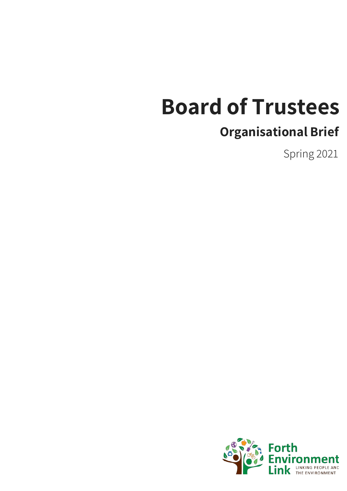# **Board of Trustees**

### **Organisational Brief**

Spring 2021

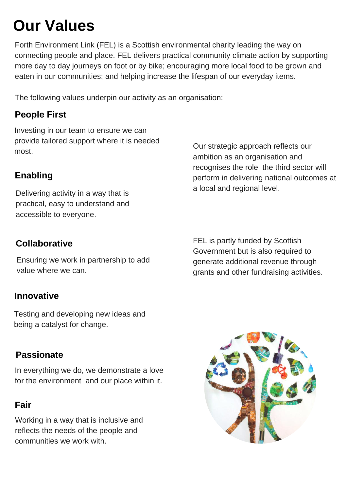# **Our Values**

Forth Environment Link (FEL) is a Scottish environmental charity leading the way on connecting people and place. FEL delivers practical community climate action by supporting more day to day journeys on foot or by bike; encouraging more local food to be grown and eaten in our communities; and helping increase the lifespan of our everyday items.

The following values underpin our activity as an organisation:

### **People First**

Investing in our team to ensure we can provide tailored support where it is needed most.

### **Enabling**

Delivering activity in a way that is practical, easy to understand and accessible to everyone.

Our strategic approach reflects our ambition as an organisation and recognises the role the third sector will perform in delivering national outcomes at a local and regional level.

FEL is partly funded by Scottish Government but is also required to generate additional revenue through grants and other fundraising activities.

### **Collaborative**

Ensuring we work in partnership to add value where we can.

### **Innovative**

Testing and developing new ideas and being a catalyst for change.

**Passionate**

In everything we do, we demonstrate a love for the environment and our place within it.

#### **Fair**

Working in a way that is inclusive and reflects the needs of the people and communities we work with.

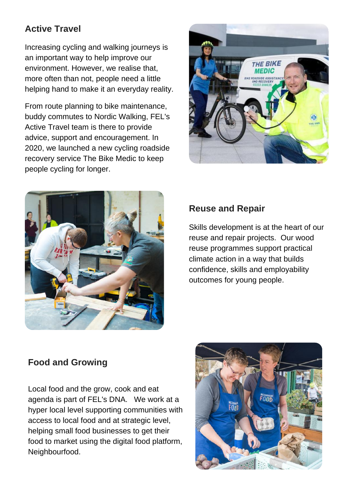### **Active Travel**

Increasing cycling and walking journeys is an important way to help improve our environment. However, we realise that, more often than not, people need a little helping hand to make it an everyday reality.

From route planning to bike maintenance, buddy commutes to Nordic Walking, FEL's Active Travel team is there to provide advice, support and encouragement. In 2020, we launched a new cycling roadside recovery service The Bike Medic to keep people cycling for longer.





### **Reuse and Repair**

Skills development is at the heart of our reuse and repair projects. Our wood reuse programmes support practical climate action in a way that builds confidence, skills and employability outcomes for young people.

### **Food and Growing**

Local food and the grow, cook and eat agenda is part of FEL's DNA. We work at a hyper local level supporting communities with access to local food and at strategic level, helping small food businesses to get their food to market using the digital food platform, Neighbourfood.

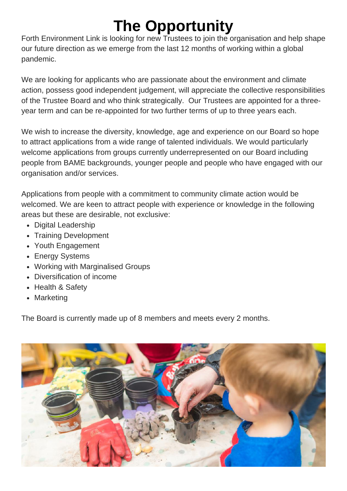# **The Opportunity**

Forth Environment Link is looking for new Trustees to join the organisation and help shape our future direction as we emerge from the last 12 months of working within a global pandemic.

We are looking for applicants who are passionate about the environment and climate action, possess good independent judgement, will appreciate the collective responsibilities of the Trustee Board and who think strategically. Our Trustees are appointed for a threeyear term and can be re-appointed for two further terms of up to three years each.

We wish to increase the diversity, knowledge, age and experience on our Board so hope to attract applications from a wide range of talented individuals. We would particularly welcome applications from groups currently underrepresented on our Board including people from BAME backgrounds, younger people and people who have engaged with our organisation and/or services.

Applications from people with a commitment to community climate action would be welcomed. We are keen to attract people with experience or knowledge in the following areas but these are desirable, not exclusive:

- Digital Leadership
- Training Development
- Youth Engagement
- Energy Systems
- Working with Marginalised Groups
- Diversification of income
- Health & Safety
- Marketing

The Board is currently made up of 8 members and meets every 2 months.

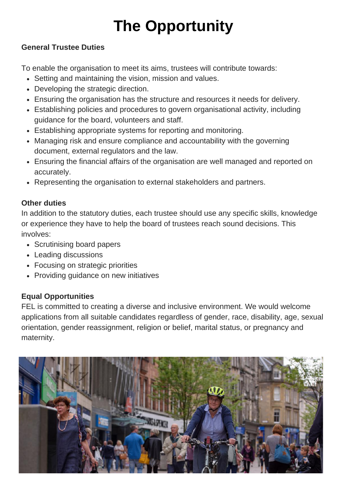# **The Opportunity**

#### **General Trustee Duties**

To enable the organisation to meet its aims, trustees will contribute towards:

- Setting and maintaining the vision, mission and values.
- Developing the strategic direction.
- Ensuring the organisation has the structure and resources it needs for delivery.
- Establishing policies and procedures to govern organisational activity, including guidance for the board, volunteers and staff.
- Establishing appropriate systems for reporting and monitoring.
- Managing risk and ensure compliance and accountability with the governing document, external regulators and the law.
- Ensuring the financial affairs of the organisation are well managed and reported on accurately.
- Representing the organisation to external stakeholders and partners.

#### **Other duties**

In addition to the statutory duties, each trustee should use any specific skills, knowledge or experience they have to help the board of trustees reach sound decisions. This involves:

- Scrutinising board papers
- Leading discussions
- Focusing on strategic priorities
- Providing guidance on new initiatives

#### **Equal Opportunities**

FEL is committed to creating a diverse and inclusive environment. We would welcome applications from all suitable candidates regardless of gender, race, disability, age, sexual orientation, gender reassignment, religion or belief, marital status, or pregnancy and maternity.

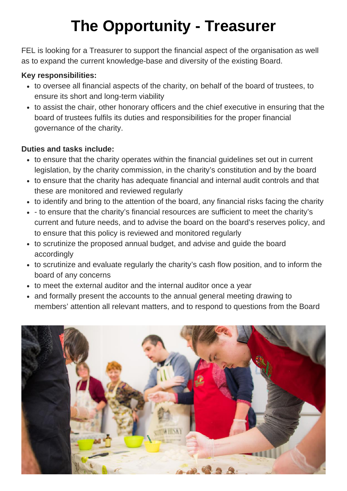# **The Opportunity - Treasurer**

FEL is looking for a Treasurer to support the financial aspect of the organisation as well as to expand the current knowledge-base and diversity of the existing Board.

#### **Key responsibilities:**

- to oversee all financial aspects of the charity, on behalf of the board of trustees, to ensure its short and long-term viability
- to assist the chair, other honorary officers and the chief executive in ensuring that the board of trustees fulfils its duties and responsibilities for the proper financial governance of the charity.

#### **Duties and tasks include:**

- to ensure that the charity operates within the financial guidelines set out in current legislation, by the charity commission, in the charity's constitution and by the board
- to ensure that the charity has adequate financial and internal audit controls and that these are monitored and reviewed regularly
- to identify and bring to the attention of the board, any financial risks facing the charity
- to ensure that the charity's financial resources are sufficient to meet the charity's current and future needs, and to advise the board on the board's reserves policy, and to ensure that this policy is reviewed and monitored regularly
- to scrutinize the proposed annual budget, and advise and guide the board accordingly
- to scrutinize and evaluate regularly the charity's cash flow position, and to inform the board of any concerns
- to meet the external auditor and the internal auditor once a year
- and formally present the accounts to the annual general meeting drawing to members' attention all relevant matters, and to respond to questions from the Board

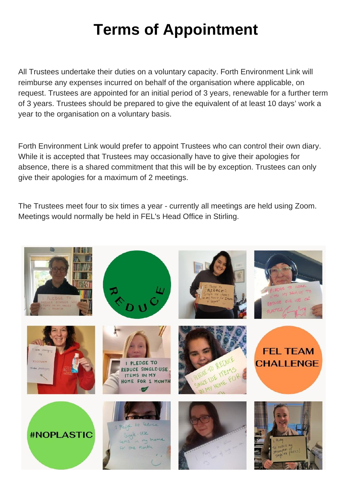# **Terms of Appointment**

All Trustees undertake their duties on a voluntary capacity. Forth Environment Link will reimburse any expenses incurred on behalf of the organisation where applicable, on request. Trustees are appointed for an initial period of 3 years, renewable for a further term of 3 years. Trustees should be prepared to give the equivalent of at least 10 days' work a year to the organisation on a voluntary basis.

Forth Environment Link would prefer to appoint Trustees who can control their own diary. While it is accepted that Trustees may occasionally have to give their apologies for absence, there is a shared commitment that this will be by exception. Trustees can only give their apologies for a maximum of 2 meetings.

The Trustees meet four to six times a year - currently all meetings are held using Zoom. Meetings would normally be held in FEL's Head Office in Stirling.

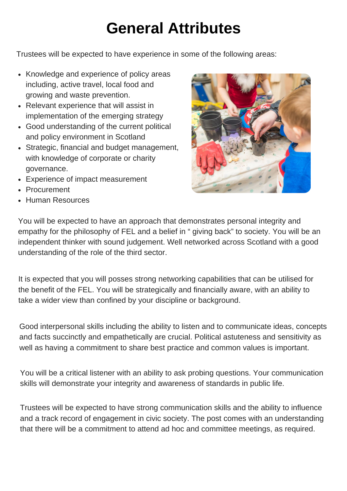# **General Attributes**

Trustees will be expected to have experience in some of the following areas:

- Knowledge and experience of policy areas including, active travel, local food and growing and waste prevention.
- Relevant experience that will assist in implementation of the emerging strategy
- Good understanding of the current political and policy environment in Scotland
- Strategic, financial and budget management, with knowledge of corporate or charity governance.
- Experience of impact measurement
- Procurement
- Human Resources



You will be expected to have an approach that demonstrates personal integrity and empathy for the philosophy of FEL and a belief in " giving back" to society. You will be an independent thinker with sound judgement. Well networked across Scotland with a good understanding of the role of the third sector.

It is expected that you will posses strong networking capabilities that can be utilised for the benefit of the FEL. You will be strategically and financially aware, with an ability to take a wider view than confined by your discipline or background.

Good interpersonal skills including the ability to listen and to communicate ideas, concepts and facts succinctly and empathetically are crucial. Political astuteness and sensitivity as well as having a commitment to share best practice and common values is important.

You will be a critical listener with an ability to ask probing questions. Your communication skills will demonstrate your integrity and awareness of standards in public life.

Trustees will be expected to have strong communication skills and the ability to influence and a track record of engagement in civic society. The post comes with an understanding that there will be a commitment to attend ad hoc and committee meetings, as required.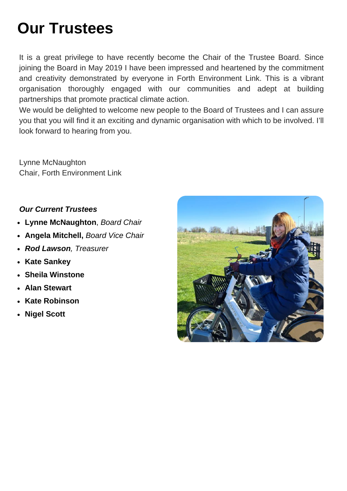# **Our Trustees**

It is a great privilege to have recently become the Chair of the Trustee Board. Since joining the Board in May 2019 I have been impressed and heartened by the commitment and creativity demonstrated by everyone in Forth Environment Link. This is a vibrant organisation thoroughly engaged with our communities and adept at building partnerships that promote practical climate action.

We would be delighted to welcome new people to the Board of Trustees and I can assure you that you will find it an exciting and dynamic organisation with which to be involved. I'll look forward to hearing from you.

Lynne McNaughton Chair, Forth Environment Link

#### *Our Current Trustees*

- **Lynne McNaughton**, *Board Chair*
- **Angela Mitchell,** *Board Vice Chair*
- *Rod Lawson, Treasurer*
- **Kate Sankey**
- **Sheila Winstone**
- **Alan Stewart**
- **Kate Robinson**
- **Nigel Scott**